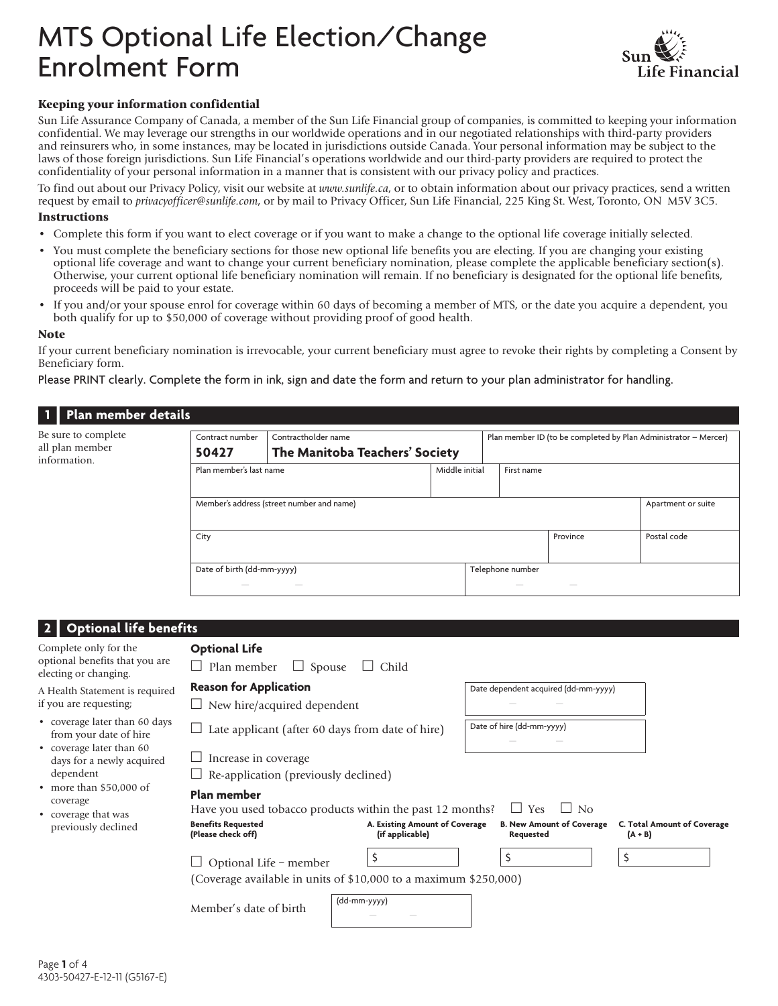# MTS Optional Life Election/Change Enrolment Form



### Keeping your information confidential

Sun Life Assurance Company of Canada, a member of the Sun Life Financial group of companies, is committed to keeping your information confidential. We may leverage our strengths in our worldwide operations and in our negotiated relationships with third-party providers and reinsurers who, in some instances, may be located in jurisdictions outside Canada. Your personal information may be subject to the laws of those foreign jurisdictions. Sun Life Financial's operations worldwide and our third-party providers are required to protect the confidentiality of your personal information in a manner that is consistent with our privacy policy and practices.

To find out about our Privacy Policy, visit our website at *www.sunlife.ca*, or to obtain information about our privacy practices, send a written request by email to *privacyofficer@sunlife.com*, or by mail to Privacy Officer, Sun Life Financial, 225 King St. West, Toronto, ON M5V 3C5.

#### Instructions

- Complete this form if you want to elect coverage or if you want to make a change to the optional life coverage initially selected.
- You must complete the beneficiary sections for those new optional life benefits you are electing. If you are changing your existing optional life coverage and want to change your current beneficiary nomination, please complete the applicable beneficiary section(s). Otherwise, your current optional life beneficiary nomination will remain. If no beneficiary is designated for the optional life benefits, proceeds will be paid to your estate.
- If you and/or your spouse enrol for coverage within 60 days of becoming a member of MTS, or the date you acquire a dependent, you both qualify for up to \$50,000 of coverage without providing proof of good health.

#### Note

If your current beneficiary nomination is irrevocable, your current beneficiary must agree to revoke their rights by completing a Consent by Beneficiary form.

Please PRINT clearly. Complete the form in ink, sign and date the form and return to your plan administrator for handling.

| Plan member details                                                               |                                                                                   |                                      |                                                                                             |                                                                 |                           |                                                  |                             |
|-----------------------------------------------------------------------------------|-----------------------------------------------------------------------------------|--------------------------------------|---------------------------------------------------------------------------------------------|-----------------------------------------------------------------|---------------------------|--------------------------------------------------|-----------------------------|
| Be sure to complete<br>all plan member<br>information.                            | Contractholder name<br>Contract number<br>50427<br>The Manitoba Teachers' Society |                                      |                                                                                             | Plan member ID (to be completed by Plan Administrator - Mercer) |                           |                                                  |                             |
|                                                                                   | Plan member's last name                                                           |                                      |                                                                                             | Middle initial                                                  | First name                |                                                  |                             |
|                                                                                   | Member's address (street number and name)                                         |                                      |                                                                                             |                                                                 |                           |                                                  | Apartment or suite          |
|                                                                                   | City                                                                              |                                      |                                                                                             |                                                                 |                           | Province                                         | Postal code                 |
|                                                                                   | Date of birth (dd-mm-yyyy)                                                        |                                      |                                                                                             |                                                                 | Telephone number          |                                                  |                             |
| <b>Optional life benefits</b>                                                     |                                                                                   |                                      |                                                                                             |                                                                 |                           |                                                  |                             |
| Complete only for the<br>optional benefits that you are<br>electing or changing.  | <b>Optional Life</b><br>$\Box$ Plan member                                        | $\Box$ Spouse                        | $\Box$ Child                                                                                |                                                                 |                           |                                                  |                             |
| A Health Statement is required<br>if you are requesting;                          | <b>Reason for Application</b><br>$\Box$ New hire/acquired dependent               |                                      |                                                                                             |                                                                 |                           | Date dependent acquired (dd-mm-yyyy)             |                             |
| • coverage later than 60 days<br>from your date of hire                           |                                                                                   |                                      | $\Box$ Late applicant (after 60 days from date of hire)                                     |                                                                 | Date of hire (dd-mm-yyyy) |                                                  |                             |
| • coverage later than 60<br>days for a newly acquired<br>dependent                | $\Box$ Increase in coverage                                                       | Re-application (previously declined) |                                                                                             |                                                                 |                           |                                                  |                             |
| • more than \$50,000 of<br>coverage<br>• coverage that was<br>previously declined | Plan member<br><b>Benefits Requested</b>                                          |                                      | Have you used tobacco products within the past 12 months?<br>A. Existing Amount of Coverage |                                                                 | $\Box$ Yes                | $\Box$<br>No<br><b>B. New Amount of Coverage</b> | C. Total Amount of Coverage |
|                                                                                   | (Please check off)<br>$\Box$ Optional Life - member                               |                                      | (if applicable)<br>\$                                                                       |                                                                 | Requested<br>\$           |                                                  | $(A + B)$<br>\$             |
|                                                                                   | Member's date of birth                                                            |                                      | (Coverage available in units of \$10,000 to a maximum \$250,000)<br>(dd-mm-yyyy)            |                                                                 |                           |                                                  |                             |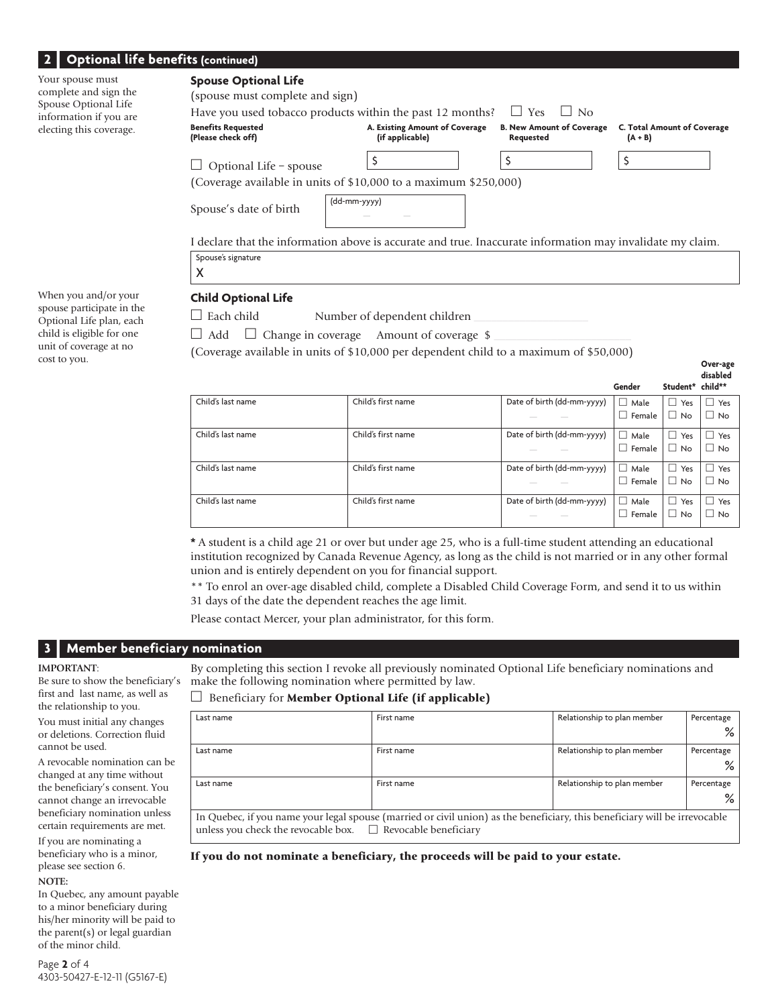## **2** | Optional lif

| <b>Optional life Defierrs (continued)</b>                         |                                                                                                                             |                                                   |                                               |                                                 |  |  |
|-------------------------------------------------------------------|-----------------------------------------------------------------------------------------------------------------------------|---------------------------------------------------|-----------------------------------------------|-------------------------------------------------|--|--|
| Your spouse must<br>complete and sign the<br>Spouse Optional Life | <b>Spouse Optional Life</b><br>(spouse must complete and sign)<br>Have you used tobacco products within the past 12 months? |                                                   | $\Box$ No<br>$\Box$ Yes                       |                                                 |  |  |
| information if you are<br>electing this coverage.                 | <b>Benefits Requested</b><br>(Please check off)                                                                             | A. Existing Amount of Coverage<br>(if applicable) | <b>B. New Amount of Coverage</b><br>Requested | <b>C. Total Amount of Coverage</b><br>$(A + B)$ |  |  |
|                                                                   | Optional Life - spouse                                                                                                      |                                                   | \$                                            |                                                 |  |  |
|                                                                   | (Coverage available in units of \$10,000 to a maximum \$250,000)                                                            |                                                   |                                               |                                                 |  |  |
|                                                                   | Spouse's date of birth                                                                                                      | (dd-mm-yyyy)                                      |                                               |                                                 |  |  |
|                                                                   | declare that the information above is accurate and true. Inaccurate information may invalidate my claim.                    |                                                   |                                               |                                                 |  |  |
|                                                                   | Spouse's signature                                                                                                          |                                                   |                                               |                                                 |  |  |
|                                                                   | X                                                                                                                           |                                                   |                                               |                                                 |  |  |
| When you and/or your<br>converse porticipate in the               | <b>Child Optional Life</b>                                                                                                  |                                                   |                                               |                                                 |  |  |

When you and/or your spouse participate in the Optional Life plan, each child is eligible for one unit of coverage at no cost to you.

 $\Box$  Each child Number of dependent children

 $\Box$  Add  $\Box$  Change in coverage Amount of coverage \$

(Coverage available in units of \$10,000 per dependent child to a maximum of \$50,000) **Cover-age** 

|                   |                    |                            |                  |                     | ansapica   |
|-------------------|--------------------|----------------------------|------------------|---------------------|------------|
|                   |                    |                            | Gender           | Student* child**    |            |
| Child's last name | Child's first name | Date of birth (dd-mm-yyyy) | $\Box$ Male      | Yes<br>$\mathbf{L}$ | $\Box$ Yes |
|                   |                    |                            | Female           | No                  | $\Box$ No  |
| Child's last name | Child's first name | Date of birth (dd-mm-yyyy) | $\Box$ Male      | Yes<br>$\Box$       | $\Box$ Yes |
|                   |                    |                            | Female<br>$\Box$ | <b>No</b>           | $\Box$ No  |
| Child's last name | Child's first name | Date of birth (dd-mm-yyyy) | $\Box$ Male      | Yes<br>$\Box$       | $\Box$ Yes |
|                   |                    |                            | Female           | No                  | $\Box$ No  |
| Child's last name | Child's first name | Date of birth (dd-mm-yyyy) | $\Box$ Male      | Yes                 | $\Box$ Yes |
|                   |                    |                            | Female           | No                  | $\Box$ No  |

 **disabled**

**\*** A student is a child age 21 or over but under age 25, who is a full-time student attending an educational institution recognized by Canada Revenue Agency, as long as the child is not married or in any other formal union and is entirely dependent on you for financial support.

\*\* To enrol an over-age disabled child, complete a Disabled Child Coverage Form, and send it to us within 31 days of the date the dependent reaches the age limit.

Please contact Mercer, your plan administrator, for this form.

## **3 | Member beneficiary nomination**

#### **IMPORTANT**:

Be sure to show the beneficiary's first and last name, as well as the relationship to you.

You must initial any changes or deletions. Correction fluid cannot be used.

A revocable nomination can be changed at any time without the beneficiary's consent. You cannot change an irrevocable beneficiary nomination unless certain requirements are met.

If you are nominating a beneficiary who is a minor, please see section 6.

#### **NOTE:**

In Quebec, any amount payable to a minor beneficiary during his/her minority will be paid to the parent(s) or legal guardian of the minor child.

By completing this section I revoke all previously nominated Optional Life beneficiary nominations and make the following nomination where permitted by law.

#### $\Box$  Beneficiary for **Member Optional Life (if applicable)**

| Last name                                                        | First name                                                                                                                 | Relationship to plan member | Percentage |
|------------------------------------------------------------------|----------------------------------------------------------------------------------------------------------------------------|-----------------------------|------------|
|                                                                  |                                                                                                                            |                             | ℅          |
| Last name                                                        | First name                                                                                                                 | Relationship to plan member | Percentage |
|                                                                  |                                                                                                                            |                             | ℅          |
| Last name                                                        | First name                                                                                                                 | Relationship to plan member | Percentage |
|                                                                  |                                                                                                                            |                             | %          |
| unless you check the revocable box. $\Box$ Revocable beneficiary | In Quebec, if you name your legal spouse (married or civil union) as the beneficiary, this beneficiary will be irrevocable |                             |            |

If you do not nominate a beneficiary, the proceeds will be paid to your estate.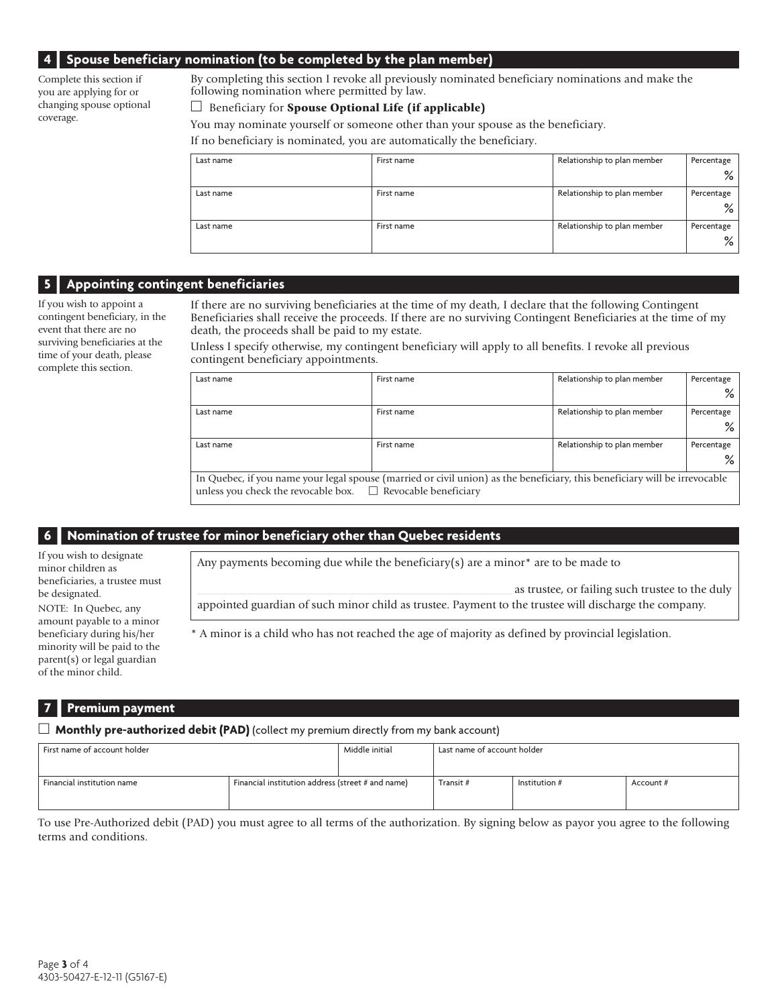## **4 | Spouse beneficiary nomination (to be completed by the plan member)**

Complete this section if you are applying for or changing spouse optional coverage.

By completing this section I revoke all previously nominated beneficiary nominations and make the following nomination where permitted by law.

#### $\Box$  Beneficiary for **Spouse Optional Life (if applicable)**

You may nominate yourself or someone other than your spouse as the beneficiary.

If no beneficiary is nominated, you are automatically the beneficiary.

| Last name | First name | Relationship to plan member | Percentage |
|-----------|------------|-----------------------------|------------|
|           |            |                             | %          |
| Last name | First name | Relationship to plan member | Percentage |
|           |            |                             | %          |
| Last name | First name | Relationship to plan member | Percentage |
|           |            |                             | %          |

## **5 | Appointing contingent beneficiaries**

If you wish to appoint a contingent beneficiary, in the event that there are no surviving beneficiaries at the time of your death, please complete this section.

If there are no surviving beneficiaries at the time of my death, I declare that the following Contingent Beneficiaries shall receive the proceeds. If there are no surviving Contingent Beneficiaries at the time of my death, the proceeds shall be paid to my estate.

Unless I specify otherwise, my contingent beneficiary will apply to all benefits. I revoke all previous contingent beneficiary appointments.

| Last name                                                        | First name                                                                                                                 | Relationship to plan member | Percentage |
|------------------------------------------------------------------|----------------------------------------------------------------------------------------------------------------------------|-----------------------------|------------|
|                                                                  |                                                                                                                            |                             | ℅          |
| Last name                                                        | First name                                                                                                                 | Relationship to plan member | Percentage |
|                                                                  |                                                                                                                            |                             | ℅          |
| Last name                                                        | First name                                                                                                                 | Relationship to plan member | Percentage |
|                                                                  |                                                                                                                            |                             | %          |
|                                                                  | In Quebec, if you name your legal spouse (married or civil union) as the beneficiary, this beneficiary will be irrevocable |                             |            |
| unless you check the revocable box. $\Box$ Revocable beneficiary |                                                                                                                            |                             |            |

## **6 I Nomination of trustee for minor beneficiary other than Quebec residents**

Any payments becoming due while the beneficiary(s) are a minor\* are to be made to

minor children as beneficiaries, a trustee must be designated. NOTE: In Quebec, any amount payable to a minor beneficiary during his/her minority will be paid to the parent(s) or legal guardian of the minor child.

If you wish to designate

as trustee, or failing such trustee to the duly

appointed guardian of such minor child as trustee. Payment to the trustee will discharge the company.

\* A minor is a child who has not reached the age of majority as defined by provincial legislation.

## **Premium** payment

**Monthly pre-authorized debit (PAD)** (collect my premium directly from my bank account)

| First name of account holder |                                                   | Middle initial | Last name of account holder |                 |           |
|------------------------------|---------------------------------------------------|----------------|-----------------------------|-----------------|-----------|
| Financial institution name   | Financial institution address (street # and name) |                | Transit #                   | Institution $#$ | Account # |

To use Pre-Authorized debit (PAD) you must agree to all terms of the authorization. By signing below as payor you agree to the following terms and conditions.